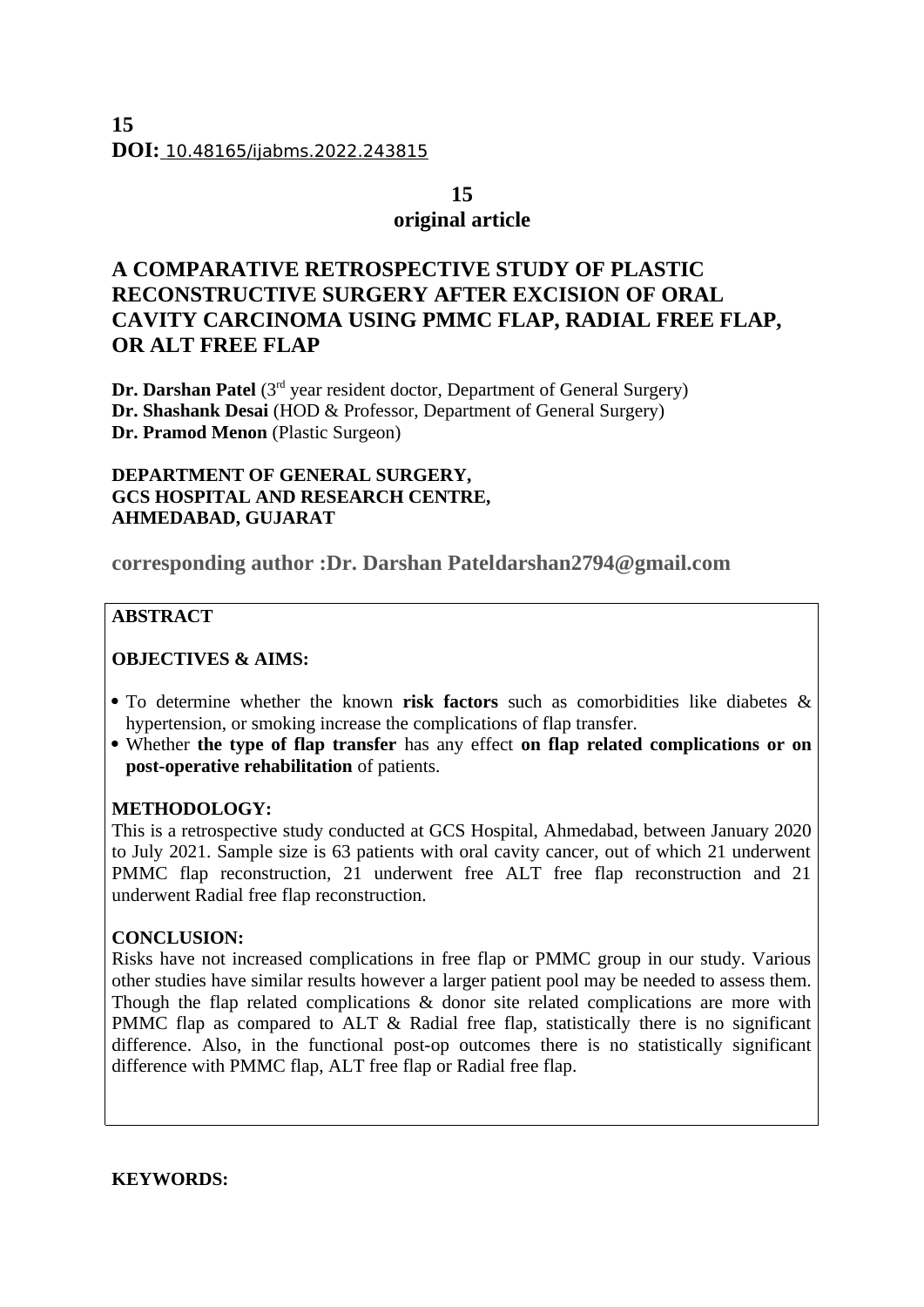**15 DOI:** 10.48165/ijabms.2022.243815

### **15**

## **original article**

# **A COMPARATIVE RETROSPECTIVE STUDY OF PLASTIC RECONSTRUCTIVE SURGERY AFTER EXCISION OF ORAL CAVITY CARCINOMA USING PMMC FLAP, RADIAL FREE FLAP, OR ALT FREE FLAP**

**Dr. Darshan Patel** (3<sup>rd</sup> year resident doctor, Department of General Surgery) **Dr. Shashank Desai** (HOD & Professor, Department of General Surgery) **Dr. Pramod Menon** (Plastic Surgeon)

**DEPARTMENT OF GENERAL SURGERY, GCS HOSPITAL AND RESEARCH CENTRE, AHMEDABAD, GUJARAT**

**corresponding author :Dr. Darshan Pateldarshan2794@gmail.com**

#### **ABSTRACT**

**OBJECTIVES & AIMS:**

- To determine whether the known **risk factors** such as comorbidities like diabetes & hypertension, or smoking increase the complications of flap transfer.
- Whether **the type of flap transfer** has any effect **on flap related complications or on post-operative rehabilitation** of patients.

#### **METHODOLOGY:**

This is a retrospective study conducted at GCS Hospital, Ahmedabad, between January 2020 to July 2021. Sample size is 63 patients with oral cavity cancer, out of which 21 underwent PMMC flap reconstruction, 21 underwent free ALT free flap reconstruction and 21 underwent Radial free flap reconstruction.

#### **CONCLUSION:**

Risks have not increased complications in free flap or PMMC group in our study. Various other studies have similar results however a larger patient pool may be needed to assess them. Though the flap related complications & donor site related complications are more with PMMC flap as compared to ALT & Radial free flap, statistically there is no significant difference. Also, in the functional post-op outcomes there is no statistically significant difference with PMMC flap, ALT free flap or Radial free flap.

**KEYWORDS:**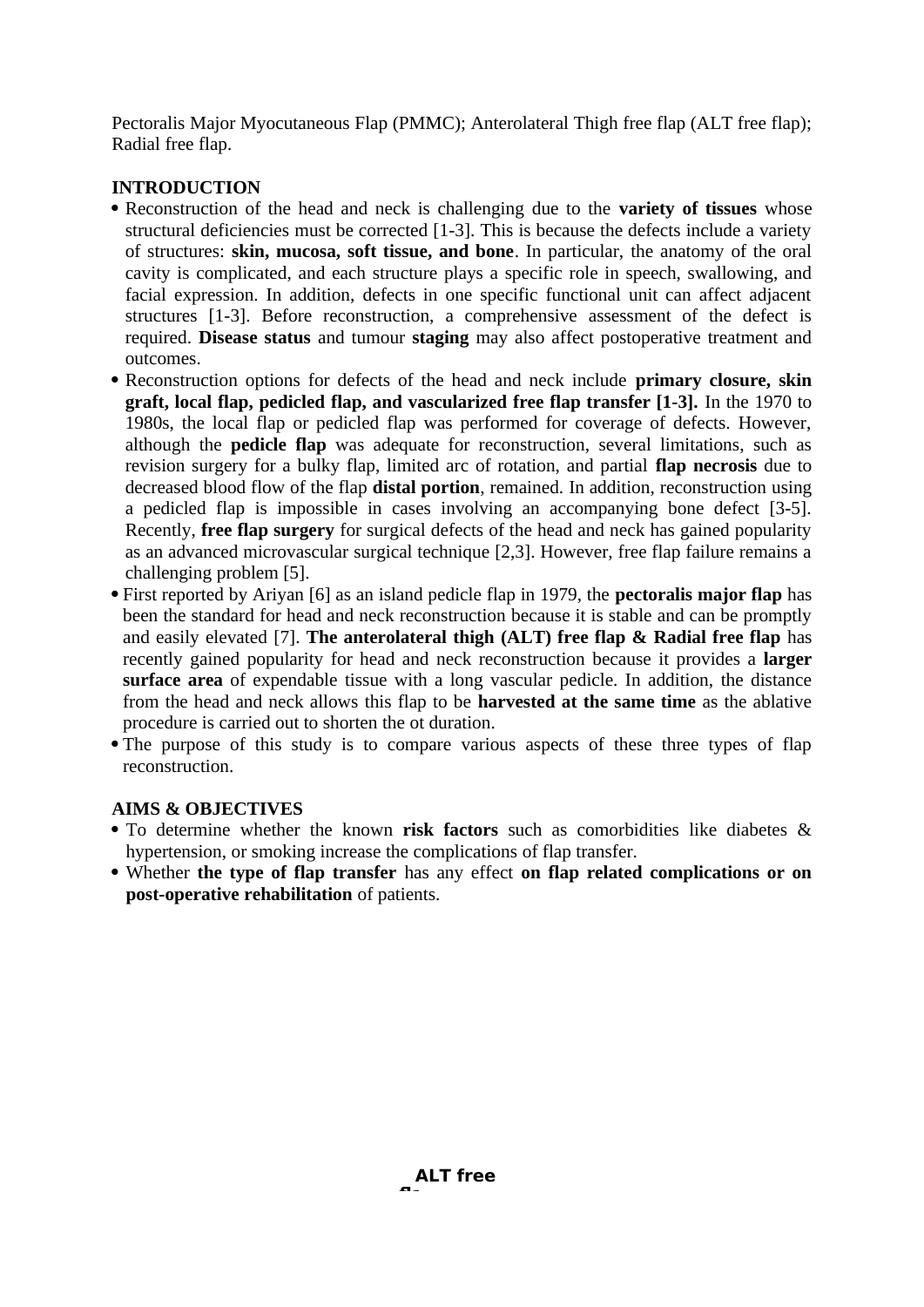Pectoralis Major Myocutaneous Flap (PMMC); Anterolateral Thigh free flap (ALT free flap); Radial free flap.

## **INTRODUCTION**

- Reconstruction of the head and neck is challenging due to the **variety of tissues** whose structural deficiencies must be corrected [1-3]. This is because the defects include a variety of structures: **skin, mucosa, soft tissue, and bone**. In particular, the anatomy of the oral cavity is complicated, and each structure plays a specific role in speech, swallowing, and facial expression. In addition, defects in one specific functional unit can affect adjacent structures [1-3]. Before reconstruction, a comprehensive assessment of the defect is required. **Disease status** and tumour **staging** may also affect postoperative treatment and outcomes.
- Reconstruction options for defects of the head and neck include **primary closure, skin graft, local flap, pedicled flap, and vascularized free flap transfer [1-3].** In the 1970 to 1980s, the local flap or pedicled flap was performed for coverage of defects. However, although the **pedicle flap** was adequate for reconstruction, several limitations, such as revision surgery for a bulky flap, limited arc of rotation, and partial **flap necrosis** due to decreased blood flow of the flap **distal portion**, remained. In addition, reconstruction using a pedicled flap is impossible in cases involving an accompanying bone defect [3-5]. Recently, **free flap surgery** for surgical defects of the head and neck has gained popularity as an advanced microvascular surgical technique [2,3]. However, free flap failure remains a challenging problem [5].
- First reported by Ariyan [6] as an island pedicle flap in 1979, the **pectoralis major flap** has been the standard for head and neck reconstruction because it is stable and can be promptly and easily elevated [7]. **The anterolateral thigh (ALT) free flap & Radial free flap** has recently gained popularity for head and neck reconstruction because it provides a **larger surface area** of expendable tissue with a long vascular pedicle. In addition, the distance from the head and neck allows this flap to be **harvested at the same time** as the ablative procedure is carried out to shorten the ot duration.
- The purpose of this study is to compare various aspects of these three types of flap reconstruction.

# **AIMS & OBJECTIVES**

- To determine whether the known **risk factors** such as comorbidities like diabetes & hypertension, or smoking increase the complications of flap transfer.
- Whether **the type of flap transfer** has any effect **on flap related complications or on post-operative rehabilitation** of patients.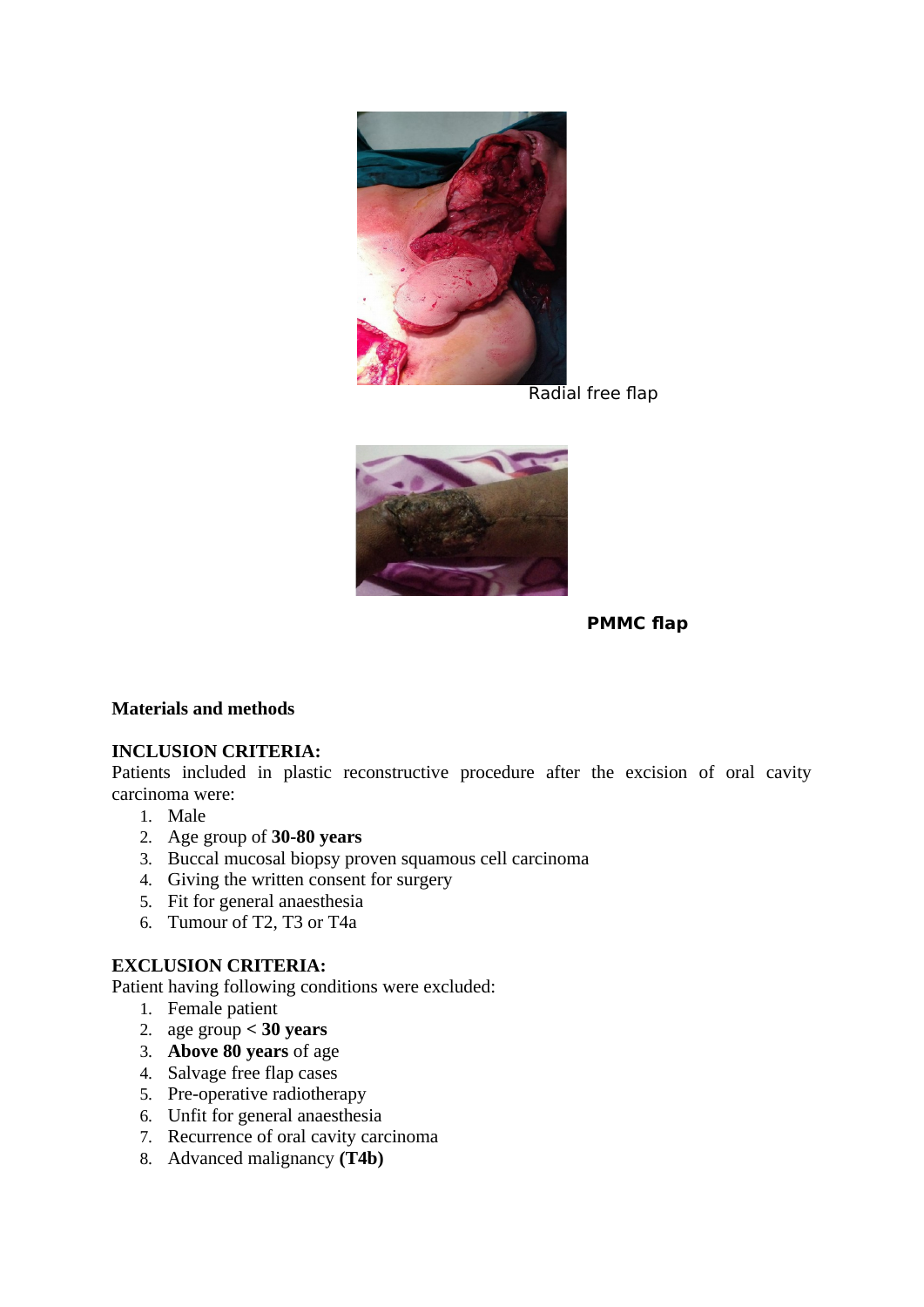

Radial free flap



 **PMMC flap**

### **Materials and methods**

#### **INCLUSION CRITERIA:**

Patients included in plastic reconstructive procedure after the excision of oral cavity carcinoma were:

- 1. Male
- 2. Age group of **30-80 years**
- 3. Buccal mucosal biopsy proven squamous cell carcinoma
- 4. Giving the written consent for surgery
- 5. Fit for general anaesthesia
- 6. Tumour of T2, T3 or T4a

#### **EXCLUSION CRITERIA:**

Patient having following conditions were excluded:

- 1. Female patient
- 2. age group **< 30 years**
- 3. **Above 80 years** of age
- 4. Salvage free flap cases
- 5. Pre-operative radiotherapy
- 6. Unfit for general anaesthesia
- 7. Recurrence of oral cavity carcinoma
- 8. Advanced malignancy **(T4b)**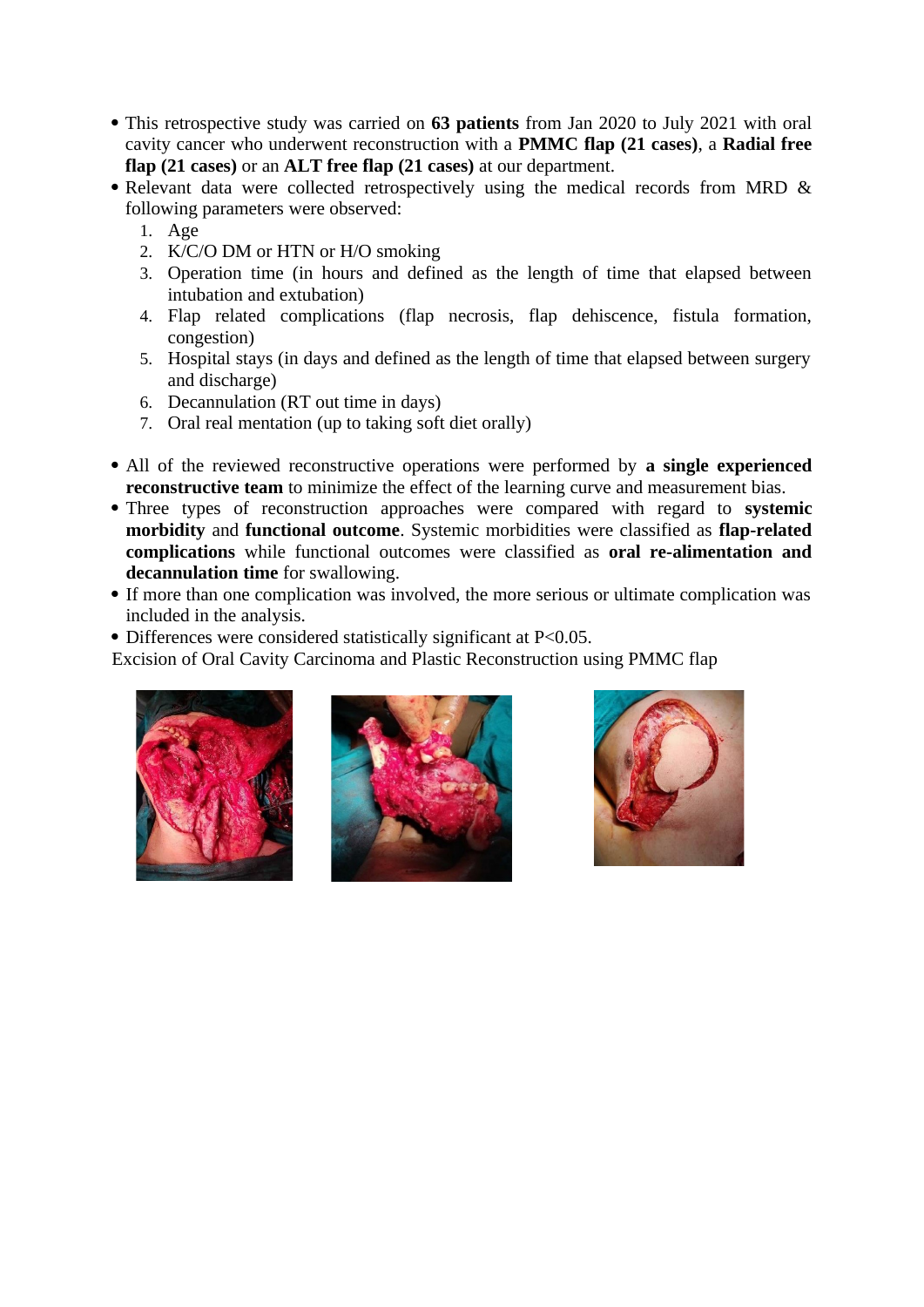- This retrospective study was carried on **63 patients** from Jan 2020 to July 2021 with oral cavity cancer who underwent reconstruction with a **PMMC flap (21 cases)**, a **Radial free flap (21 cases)** or an **ALT free flap (21 cases)** at our department.
- Relevant data were collected retrospectively using the medical records from MRD & following parameters were observed:
	- 1. Age
	- 2. K/C/O DM or HTN or H/O smoking
	- 3. Operation time (in hours and defined as the length of time that elapsed between intubation and extubation)
	- 4. Flap related complications (flap necrosis, flap dehiscence, fistula formation, congestion)
	- 5. Hospital stays (in days and defined as the length of time that elapsed between surgery and discharge)
	- 6. Decannulation (RT out time in days)
	- 7. Oral real mentation (up to taking soft diet orally)
- All of the reviewed reconstructive operations were performed by **a single experienced reconstructive team** to minimize the effect of the learning curve and measurement bias.
- Three types of reconstruction approaches were compared with regard to **systemic morbidity** and **functional outcome**. Systemic morbidities were classified as **flap-related complications** while functional outcomes were classified as **oral re-alimentation and decannulation time** for swallowing.
- If more than one complication was involved, the more serious or ultimate complication was included in the analysis.
- $\bullet$  Differences were considered statistically significant at P<0.05.

Excision of Oral Cavity Carcinoma and Plastic Reconstruction using PMMC flap





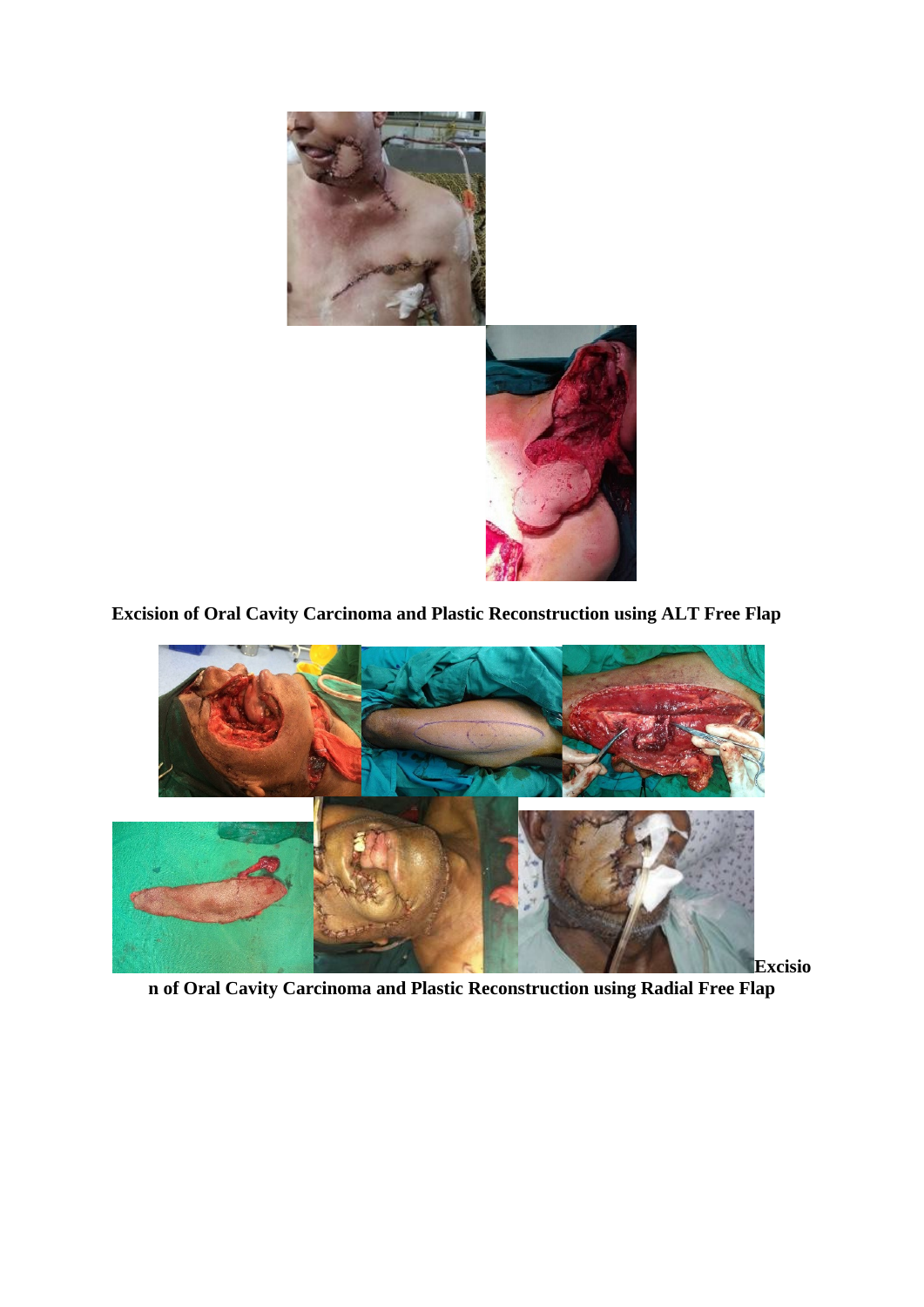



**Excision of Oral Cavity Carcinoma and Plastic Reconstruction using ALT Free Flap**



**n of Oral Cavity Carcinoma and Plastic Reconstruction using Radial Free Flap**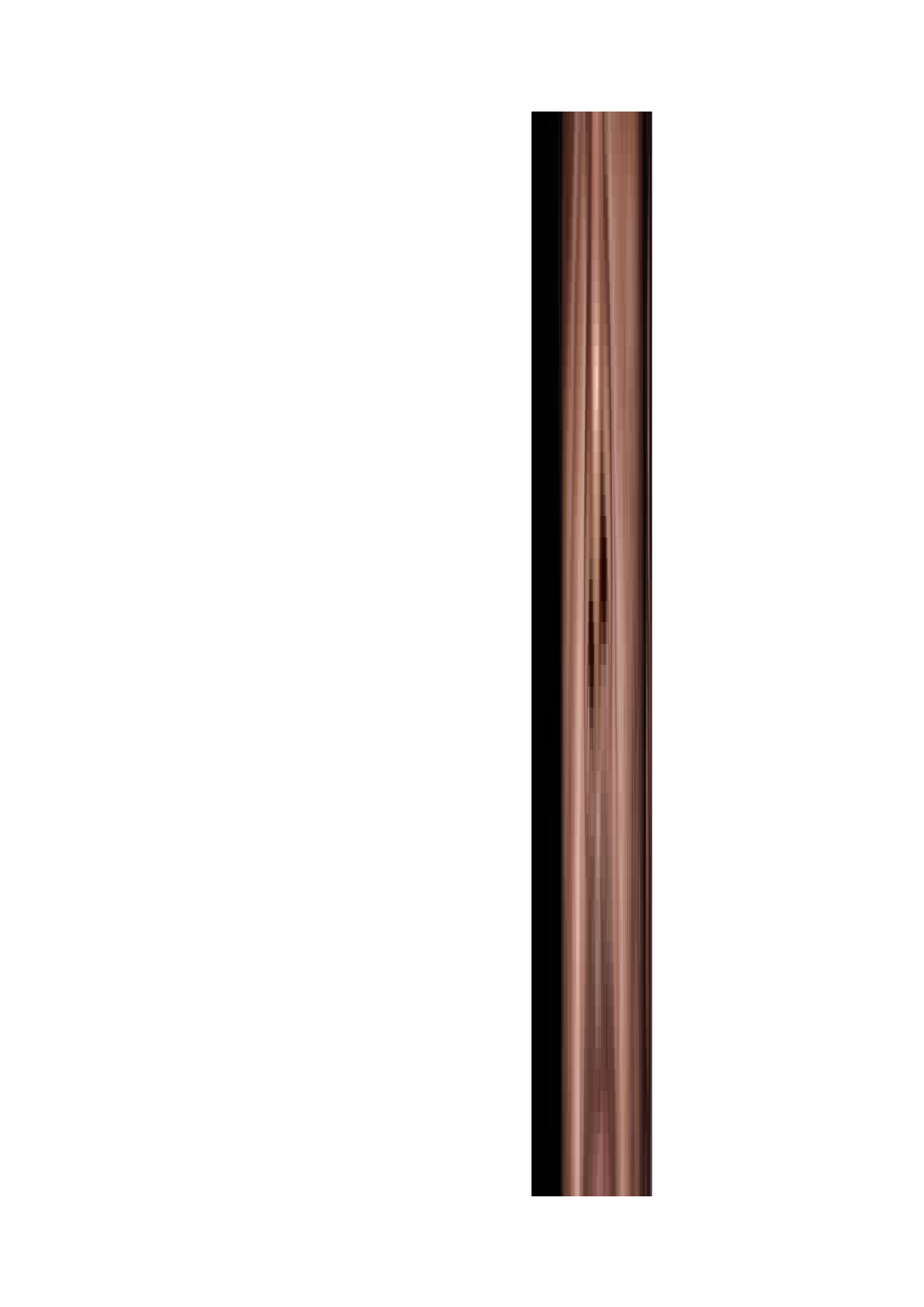![](_page_5_Picture_0.jpeg)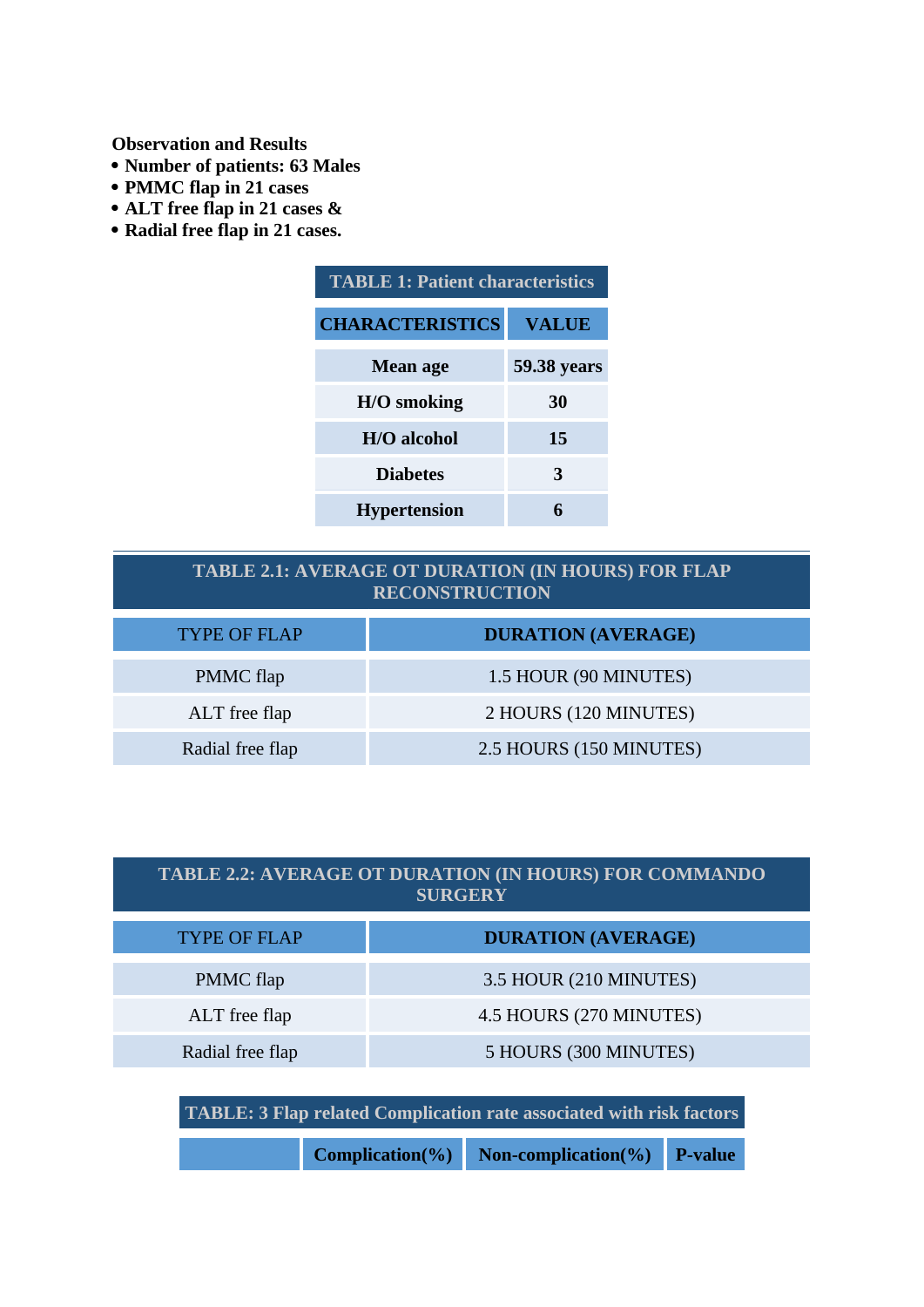**Observation and Results**

- **Number of patients: 63 Males**
- **PMMC flap in 21 cases**
- **ALT free flap in 21 cases &**
- **Radial free flap in 21 cases.**

| <b>TABLE 1: Patient characteristics</b> |              |
|-----------------------------------------|--------------|
| <b>CHARACTERISTICS</b>                  | <b>VALUE</b> |
| Mean age                                | 59.38 years  |
| H/O smoking                             | 30           |
| $H/O$ alcohol                           | 15           |
| <b>Diabetes</b>                         | 3            |
| <b>Hypertension</b>                     |              |

### **TABLE 2.1: AVERAGE OT DURATION (IN HOURS) FOR FLAP RECONSTRUCTION**

| <b>TYPE OF FLAP</b> | <b>DURATION (AVERAGE)</b> |
|---------------------|---------------------------|
| PMMC flap           | 1.5 HOUR (90 MINUTES)     |
| ALT free flap       | 2 HOURS (120 MINUTES)     |
| Radial free flap    | 2.5 HOURS (150 MINUTES)   |

| TABLE 2.2: AVERAGE OT DURATION (IN HOURS) FOR COMMANDO |  |
|--------------------------------------------------------|--|
| <b>SURGERY</b>                                         |  |
|                                                        |  |

| <b>TYPE OF FLAP</b> | <b>DURATION (AVERAGE)</b> |
|---------------------|---------------------------|
| <b>PMMC</b> flap    | 3.5 HOUR (210 MINUTES)    |
| ALT free flap       | 4.5 HOURS (270 MINUTES)   |
| Radial free flap    | 5 HOURS (300 MINUTES)     |
|                     |                           |

**TABLE: 3 Flap related Complication rate associated with risk factors**

**Complication(%) Non-complication(%) P-value**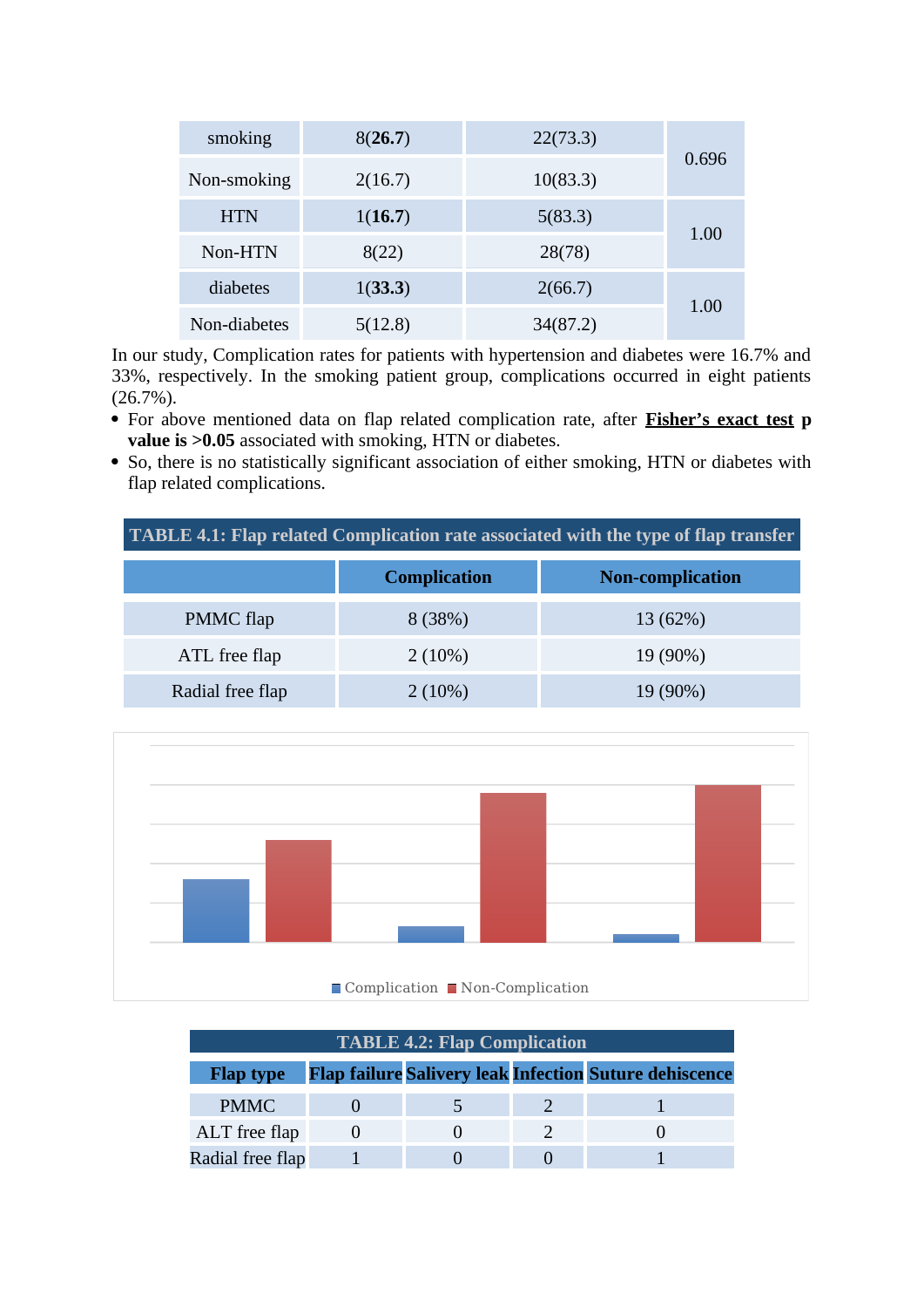| smoking      | 8(26.7) | 22(73.3) |       |
|--------------|---------|----------|-------|
| Non-smoking  | 2(16.7) | 10(83.3) | 0.696 |
| <b>HTN</b>   | 1(16.7) | 5(83.3)  |       |
| Non-HTN      | 8(22)   | 28(78)   | 1.00  |
| diabetes     | 1(33.3) | 2(66.7)  |       |
| Non-diabetes | 5(12.8) | 34(87.2) | 1.00  |

In our study, Complication rates for patients with hypertension and diabetes were 16.7% and 33%, respectively. In the smoking patient group, complications occurred in eight patients (26.7%).

- For above mentioned data on flap related complication rate, after **Fisher's exact test p value is >0.05** associated with smoking, HTN or diabetes.
- So, there is no statistically significant association of either smoking, HTN or diabetes with flap related complications.

| TABLE 4.1: Flap related Complication rate associated with the type of flap transfer |                     |                         |  |
|-------------------------------------------------------------------------------------|---------------------|-------------------------|--|
|                                                                                     | <b>Complication</b> | <b>Non-complication</b> |  |
| <b>PMMC</b> flap                                                                    | 8(38%)              | 13 (62%)                |  |
| ATL free flap                                                                       | $2(10\%)$           | 19 (90%)                |  |
| Radial free flap                                                                    | $2(10\%)$           | 19 (90%)                |  |

![](_page_7_Figure_5.jpeg)

| <b>TABLE 4.2: Flap Complication</b> |  |  |                                                               |
|-------------------------------------|--|--|---------------------------------------------------------------|
| <b>Flap type</b>                    |  |  | <b>Flap failure Salivery leak Infection Suture dehiscence</b> |
| <b>PMMC</b>                         |  |  |                                                               |
| ALT free flap                       |  |  |                                                               |
| Radial free flap                    |  |  |                                                               |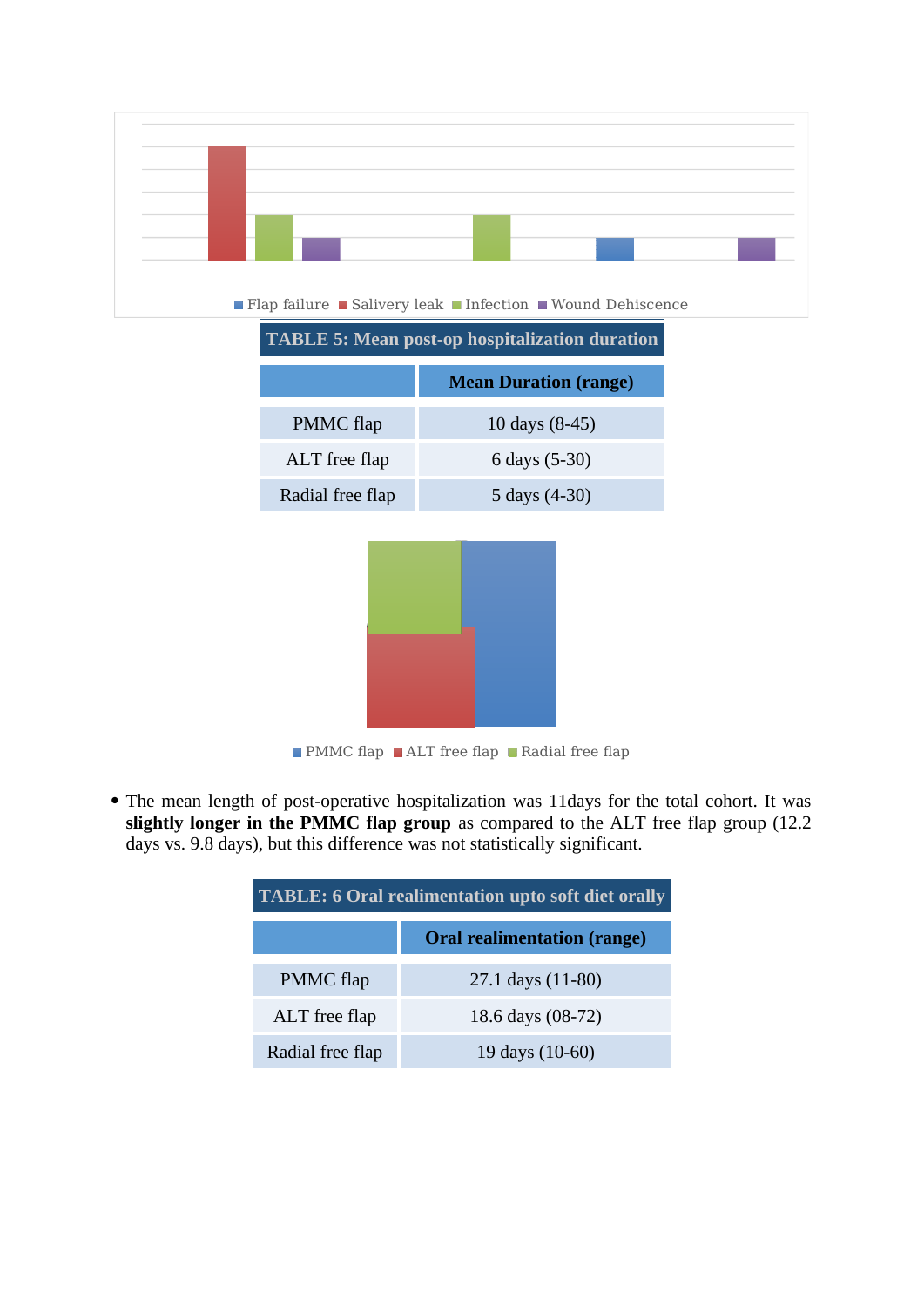![](_page_8_Figure_0.jpeg)

![](_page_8_Figure_1.jpeg)

 The mean length of post-operative hospitalization was 11days for the total cohort. It was **slightly longer in the PMMC flap group** as compared to the ALT free flap group (12.2 days vs. 9.8 days), but this difference was not statistically significant.

| <b>TABLE: 6 Oral realimentation upto soft diet orally</b> |                                    |  |
|-----------------------------------------------------------|------------------------------------|--|
|                                                           | <b>Oral realimentation (range)</b> |  |
| <b>PMMC</b> flap                                          | 27.1 days (11-80)                  |  |
| ALT free flap                                             | 18.6 days (08-72)                  |  |
| Radial free flap                                          | 19 days (10-60)                    |  |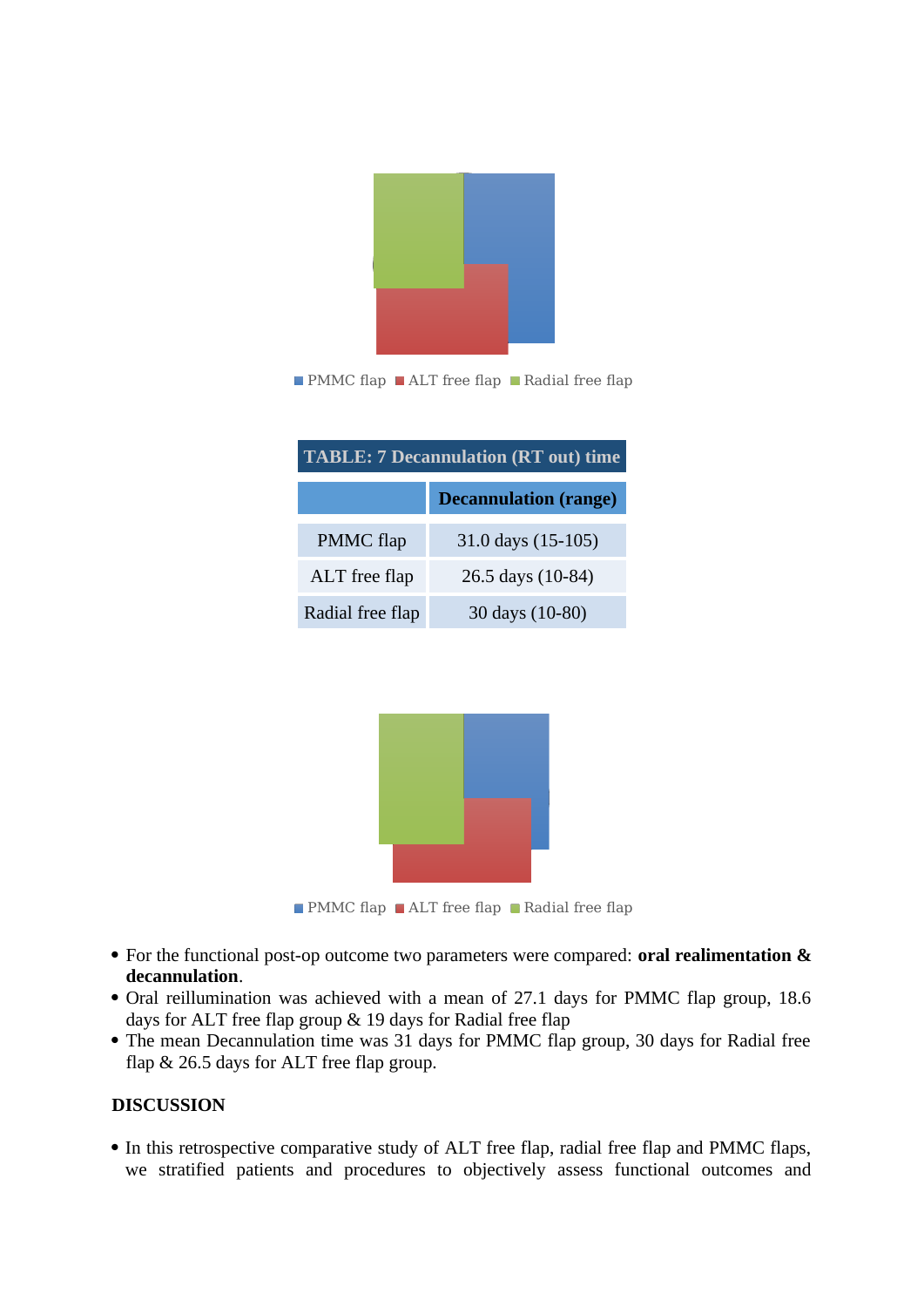![](_page_9_Figure_0.jpeg)

 $\blacksquare$  PMMC flap  $\blacksquare$  ALT free flap  $\blacksquare$  Radial free flap

| <b>TABLE: 7 Decannulation (RT out) time</b> |                    |  |
|---------------------------------------------|--------------------|--|
| <b>Decannulation (range)</b>                |                    |  |
| <b>PMMC</b> flap                            | 31.0 days (15-105) |  |
| ALT free flap                               | 26.5 days (10-84)  |  |
| Radial free flap                            | 30 days (10-80)    |  |

![](_page_9_Figure_3.jpeg)

- For the functional post-op outcome two parameters were compared: **oral realimentation & decannulation**.
- Oral reillumination was achieved with a mean of 27.1 days for PMMC flap group, 18.6 days for ALT free flap group & 19 days for Radial free flap
- The mean Decannulation time was 31 days for PMMC flap group, 30 days for Radial free flap & 26.5 days for ALT free flap group.

### **DISCUSSION**

• In this retrospective comparative study of ALT free flap, radial free flap and PMMC flaps, we stratified patients and procedures to objectively assess functional outcomes and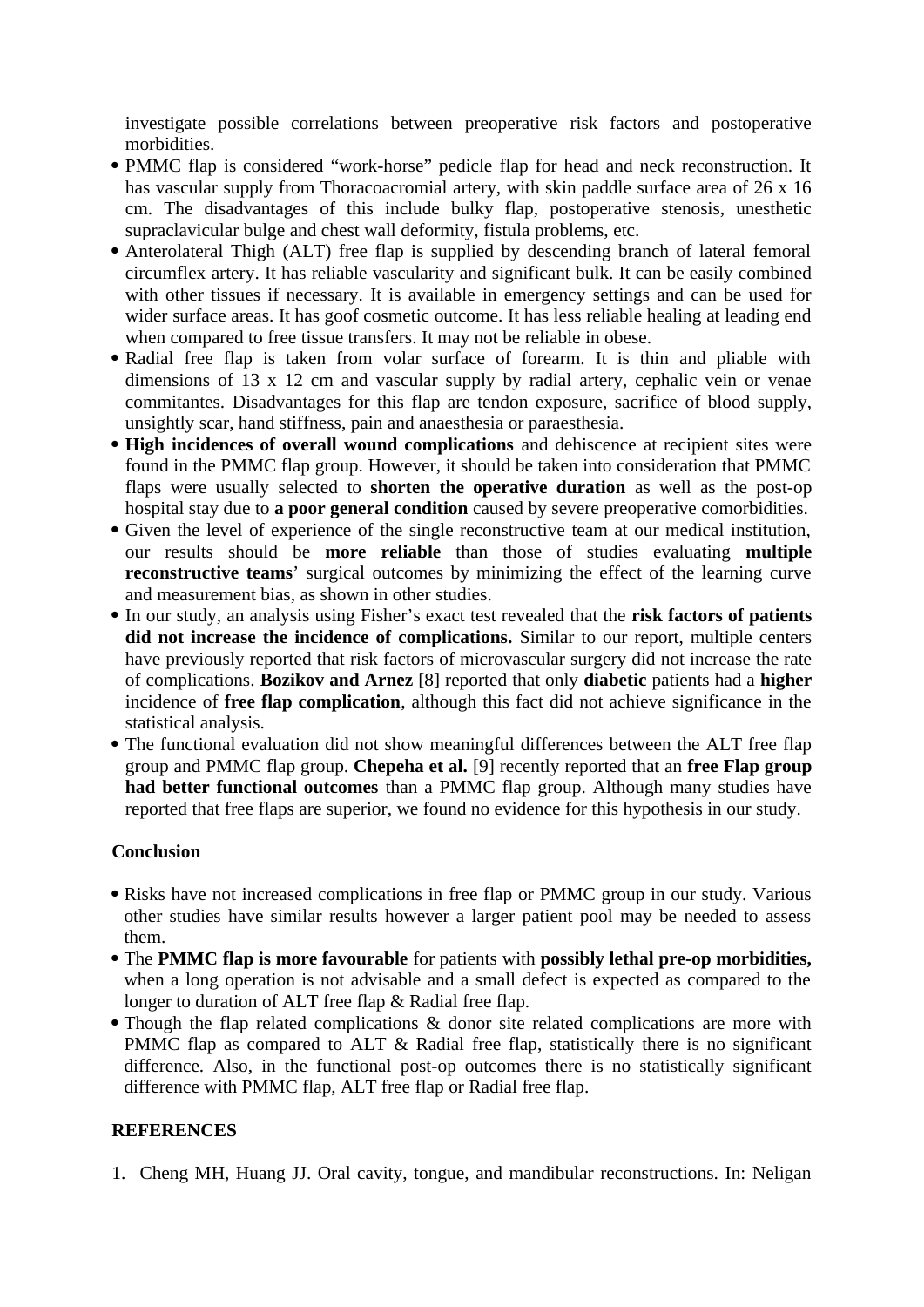investigate possible correlations between preoperative risk factors and postoperative morbidities.

- PMMC flap is considered "work-horse" pedicle flap for head and neck reconstruction. It has vascular supply from Thoracoacromial artery, with skin paddle surface area of 26 x 16 cm. The disadvantages of this include bulky flap, postoperative stenosis, unesthetic supraclavicular bulge and chest wall deformity, fistula problems, etc.
- Anterolateral Thigh (ALT) free flap is supplied by descending branch of lateral femoral circumflex artery. It has reliable vascularity and significant bulk. It can be easily combined with other tissues if necessary. It is available in emergency settings and can be used for wider surface areas. It has goof cosmetic outcome. It has less reliable healing at leading end when compared to free tissue transfers. It may not be reliable in obese.
- Radial free flap is taken from volar surface of forearm. It is thin and pliable with dimensions of 13 x 12 cm and vascular supply by radial artery, cephalic vein or venae commitantes. Disadvantages for this flap are tendon exposure, sacrifice of blood supply, unsightly scar, hand stiffness, pain and anaesthesia or paraesthesia.
- **High incidences of overall wound complications** and dehiscence at recipient sites were found in the PMMC flap group. However, it should be taken into consideration that PMMC flaps were usually selected to **shorten the operative duration** as well as the post-op hospital stay due to **a poor general condition** caused by severe preoperative comorbidities.
- Given the level of experience of the single reconstructive team at our medical institution, our results should be **more reliable** than those of studies evaluating **multiple reconstructive teams**' surgical outcomes by minimizing the effect of the learning curve and measurement bias, as shown in other studies.
- In our study, an analysis using Fisher's exact test revealed that the **risk factors of patients did not increase the incidence of complications.** Similar to our report, multiple centers have previously reported that risk factors of microvascular surgery did not increase the rate of complications. **Bozikov and Arnez** [8] reported that only **diabetic** patients had a **higher** incidence of **free flap complication**, although this fact did not achieve significance in the statistical analysis.
- The functional evaluation did not show meaningful differences between the ALT free flap group and PMMC flap group. **Chepeha et al.** [9] recently reported that an **free Flap group had better functional outcomes** than a PMMC flap group. Although many studies have reported that free flaps are superior, we found no evidence for this hypothesis in our study.

### **Conclusion**

- Risks have not increased complications in free flap or PMMC group in our study. Various other studies have similar results however a larger patient pool may be needed to assess them.
- The **PMMC flap is more favourable** for patients with **possibly lethal pre-op morbidities,** when a long operation is not advisable and a small defect is expected as compared to the longer to duration of ALT free flap & Radial free flap.
- Though the flap related complications & donor site related complications are more with PMMC flap as compared to ALT & Radial free flap, statistically there is no significant difference. Also, in the functional post-op outcomes there is no statistically significant difference with PMMC flap, ALT free flap or Radial free flap.

### **REFERENCES**

1. Cheng MH, Huang JJ. Oral cavity, tongue, and mandibular reconstructions. In: Neligan